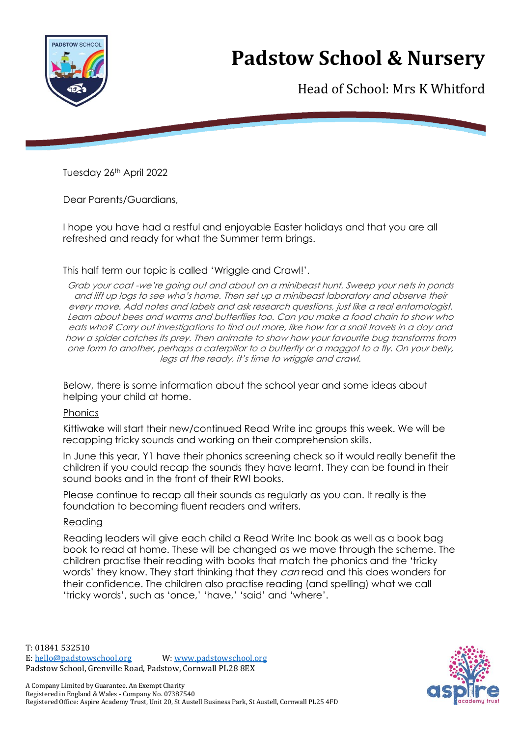

# **Padstow School & Nursery**

Head of School: Mrs K Whitford

Tuesday 26th April 2022

Dear Parents/Guardians,

I hope you have had a restful and enjoyable Easter holidays and that you are all refreshed and ready for what the Summer term brings.

#### This half term our topic is called 'Wriggle and Crawl!'.

Grab your coat -we're going out and about on a minibeast hunt. Sweep your nets in ponds and lift up logs to see who's home. Then set up a minibeast laboratory and observe their every move. Add notes and labels and ask research questions, just like a real entomologist. Learn about bees and worms and butterflies too. Can you make a food chain to show who eats who? Carry out investigations to find out more, like how far a snail travels in a day and how a spider catches its prey. Then animate to show how your favourite bug transforms from one form to another, perhaps a caterpillar to a butterfly or a maggot to a fly. On your belly, legs at the ready, it's time to wriggle and crawl.

Below, there is some information about the school year and some ideas about helping your child at home.

#### Phonics

Kittiwake will start their new/continued Read Write inc groups this week. We will be recapping tricky sounds and working on their comprehension skills.

In June this year, Y1 have their phonics screening check so it would really benefit the children if you could recap the sounds they have learnt. They can be found in their sound books and in the front of their RWI books.

Please continue to recap all their sounds as regularly as you can. It really is the foundation to becoming fluent readers and writers.

#### Reading

Reading leaders will give each child a Read Write Inc book as well as a book bag book to read at home. These will be changed as we move through the scheme. The children practise their reading with books that match the phonics and the 'tricky words' they know. They start thinking that they *can* read and this does wonders for their confidence. The children also practise reading (and spelling) what we call 'tricky words', such as 'once,' 'have,' 'said' and 'where'.

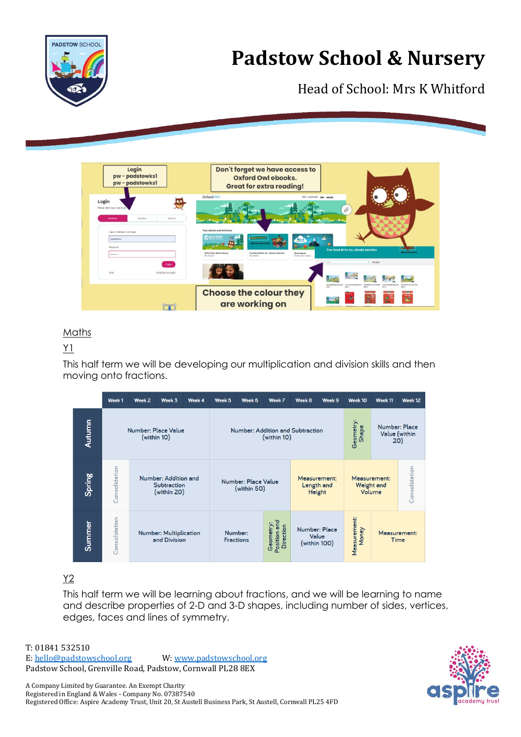



# Head of School: Mrs K Whitford



# Maths

# Y1

This half term we will be developing our multiplication and division skills and then moving onto fractions.

|        | Week 1                             | Week <sub>2</sub>                                  | Week 3 | Week 4 | Week 5                                                                       | Week 6 | Week 7 | Week 8                                      | Week 9                                 | Week 10                              | Week 11                               | Week 12       |
|--------|------------------------------------|----------------------------------------------------|--------|--------|------------------------------------------------------------------------------|--------|--------|---------------------------------------------|----------------------------------------|--------------------------------------|---------------------------------------|---------------|
| Autumn | Number: Place Value<br>(within 10) |                                                    |        |        | Number: Addition and Subtraction<br>(within 10)                              |        |        |                                             |                                        | Geometry:<br>Shape                   | Number: Place<br>Value (within<br>20) |               |
| Spring | Consolidation                      | Number: Addition and<br>Subtraction<br>(within 20) |        |        | Number: Place Value<br>(within 50)                                           |        |        | Measurement:<br>Length and<br><b>Height</b> |                                        | Measurement:<br>Weight and<br>Volume |                                       | Consolidation |
| Summer | Consolidation                      | <b>Number: Multiplication</b><br>and Division      |        |        | Position and<br>Geometry:<br><b>Direction</b><br>Number:<br><b>Fractions</b> |        |        |                                             | Number: Place<br>Value<br>(within 100) | Measurement:<br>Money                | Measurement:<br>Time                  |               |

# Y2

This half term we will be learning about fractions, and we will be learning to name and describe properties of 2-D and 3-D shapes, including number of sides, vertices, edges, faces and lines of symmetry.



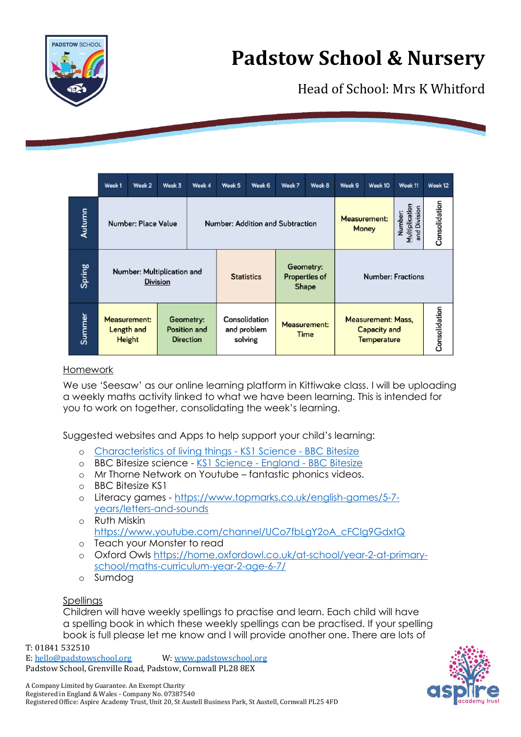



Head of School: Mrs K Whitford

|        | Week <sub>1</sub>                             | Week 2                                      | Week 3 | Week 4                                        | Week 5                                  | Week 6            | Week 7                      | Week 8                                            | Week 9                                                          | Week 10                             | Week 11 | Week 12       |
|--------|-----------------------------------------------|---------------------------------------------|--------|-----------------------------------------------|-----------------------------------------|-------------------|-----------------------------|---------------------------------------------------|-----------------------------------------------------------------|-------------------------------------|---------|---------------|
| Autumn |                                               | Number: Place Value                         |        |                                               | <b>Number: Addition and Subtraction</b> |                   |                             |                                                   |                                                                 | <b>Measurement:</b><br><b>Money</b> |         | Consolidation |
| Spring | Number: Multiplication and<br><b>Division</b> |                                             |        |                                               |                                         | <b>Statistics</b> |                             | Geometry:<br><b>Properties of</b><br><b>Shape</b> | <b>Number: Fractions</b>                                        |                                     |         |               |
| Summer |                                               | <b>Measurement:</b><br>Length and<br>Height |        | Geometry:<br>Position and<br><b>Direction</b> | Consolidation<br>and problem<br>solving |                   | <b>Measurement:</b><br>Time |                                                   | <b>Measurement: Mass,</b><br>Capacity and<br><b>Temperature</b> | Consolidation                       |         |               |

#### Homework

We use 'Seesaw' as our online learning platform in Kittiwake class. I will be uploading a weekly maths activity linked to what we have been learning. This is intended for you to work on together, consolidating the week's learning.

Suggested websites and Apps to help support your child's learning:

- o [Characteristics of living things -](https://www.bbc.co.uk/bitesize/clips/zg7s39q?scrlybrkr=c1389c77) KS1 Science BBC Bitesize
- o BBC Bitesize science [KS1 Science -](https://www.bbc.co.uk/bitesize/subjects/z6svr82) England BBC Bitesize
- o Mr Thorne Network on Youtube fantastic phonics videos.
- o BBC Bitesize KS1
- o Literacy games [https://www.topmarks.co.uk/english-games/5-7](https://www.topmarks.co.uk/english-games/5-7-years/letters-and-sounds) [years/letters-and-sounds](https://www.topmarks.co.uk/english-games/5-7-years/letters-and-sounds)
- o Ruth Miskin [https://www.youtube.com/channel/UCo7fbLgY2oA\\_cFCIg9GdxtQ](https://www.youtube.com/channel/UCo7fbLgY2oA_cFCIg9GdxtQ)
- o Teach your Monster to read
- o Oxford Owls [https://home.oxfordowl.co.uk/at-school/year-2-at-primary](https://home.oxfordowl.co.uk/at-school/year-2-at-primary-school/maths-curriculum-year-2-age-6-7/)[school/maths-curriculum-year-2-age-6-7/](https://home.oxfordowl.co.uk/at-school/year-2-at-primary-school/maths-curriculum-year-2-age-6-7/)
- o Sumdog

### **Spellings**

Children will have weekly spellings to practise and learn. Each child will have a spelling book in which these weekly spellings can be practised. If your spelling book is full please let me know and I will provide another one. There are lots of

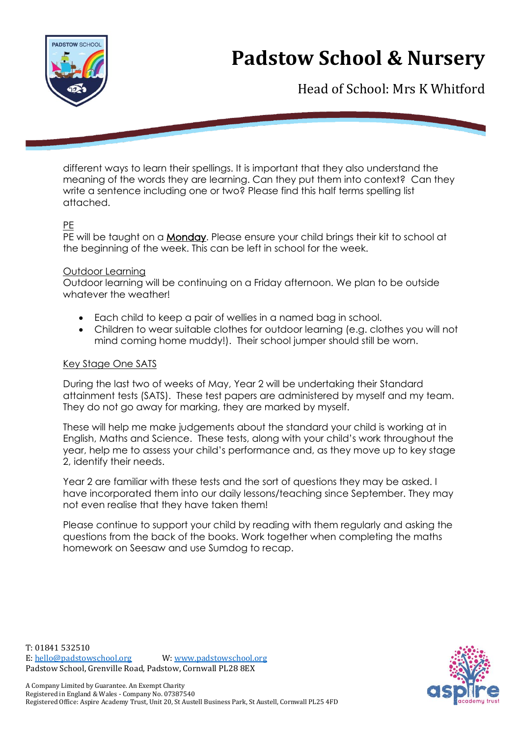

# **Padstow School & Nursery**

Head of School: Mrs K Whitford

different ways to learn their spellings. It is important that they also understand the meaning of the words they are learning. Can they put them into context? Can they write a sentence including one or two? Please find this half terms spelling list attached.

### PE

PE will be taught on a **Monday**. Please ensure your child brings their kit to school at the beginning of the week. This can be left in school for the week.

#### Outdoor Learning

Outdoor learning will be continuing on a Friday afternoon. We plan to be outside whatever the weather!

- Each child to keep a pair of wellies in a named bag in school.
- Children to wear suitable clothes for outdoor learning (e.g. clothes you will not mind coming home muddy!). Their school jumper should still be worn.

# Key Stage One SATS

During the last two of weeks of May, Year 2 will be undertaking their Standard attainment tests (SATS). These test papers are administered by myself and my team. They do not go away for marking, they are marked by myself.

These will help me make judgements about the standard your child is working at in English, Maths and Science. These tests, along with your child's work throughout the year, help me to assess your child's performance and, as they move up to key stage 2, identify their needs.

Year 2 are familiar with these tests and the sort of questions they may be asked. I have incorporated them into our daily lessons/teaching since September. They may not even realise that they have taken them!

Please continue to support your child by reading with them regularly and asking the questions from the back of the books. Work together when completing the maths homework on Seesaw and use Sumdog to recap.